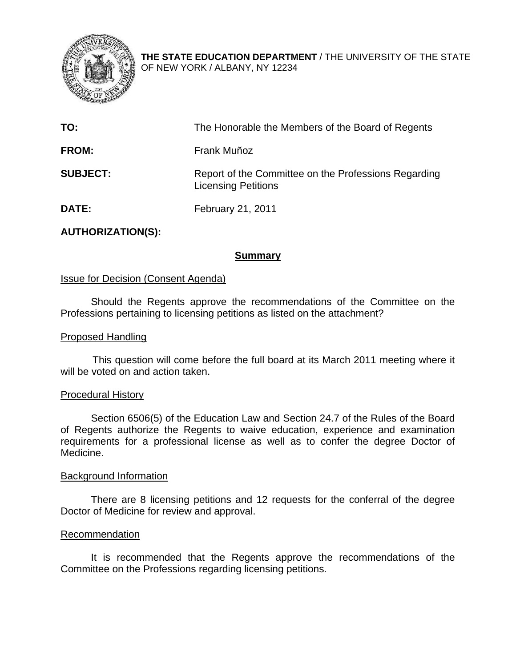

**THE STATE EDUCATION DEPARTMENT** / THE UNIVERSITY OF THE STATE OF NEW YORK / ALBANY, NY 12234

| TO:             | The Honorable the Members of the Board of Regents                                  |
|-----------------|------------------------------------------------------------------------------------|
| <b>FROM:</b>    | Frank Muñoz                                                                        |
| <b>SUBJECT:</b> | Report of the Committee on the Professions Regarding<br><b>Licensing Petitions</b> |
| DATE:           | February 21, 2011                                                                  |

# **AUTHORIZATION(S):**

#### **Summary**

#### Issue for Decision (Consent Agenda)

Should the Regents approve the recommendations of the Committee on the Professions pertaining to licensing petitions as listed on the attachment?

#### Proposed Handling

This question will come before the full board at its March 2011 meeting where it will be voted on and action taken.

#### Procedural History

Section 6506(5) of the Education Law and Section 24.7 of the Rules of the Board of Regents authorize the Regents to waive education, experience and examination requirements for a professional license as well as to confer the degree Doctor of Medicine.

#### Background Information

There are 8 licensing petitions and 12 requests for the conferral of the degree Doctor of Medicine for review and approval.

#### Recommendation

It is recommended that the Regents approve the recommendations of the Committee on the Professions regarding licensing petitions.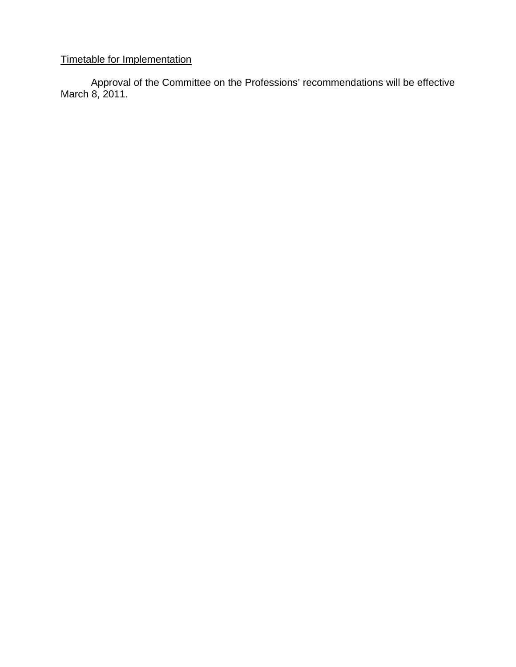# Timetable for Implementation

Approval of the Committee on the Professions' recommendations will be effective March 8, 2011.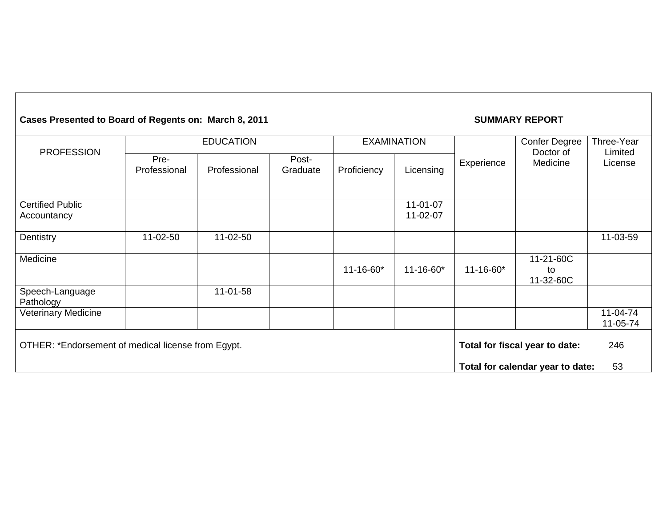#### Cases Presented to Board of Regents on: March 8, 2011 **SUMMARY REPORT** EDUCATION EXAMINATION **PROFESSION** Pre-Professional Professional Post- Graduate Proficiency Licensing Experience Confer Degree Doctor of Medicine Three-Year Limited License Certified Public Accountancy 11-01-07 11-02-07 Dentistry | 11-02-50 | 11-02-50 | | | | | 11-03-59 **Medicine** 11-16-60\* 11-16-60\* 11-16-60\* 11-21-60C to 11-32-60C Speech-Language Pathology 11-01-58 Veterinary Medicine 11-04-74 11-05-74 OTHER: \*Endorsement of medical license from Egypt. **Total for fiscal year to date:** 246 **Total for calendar year to date:** 53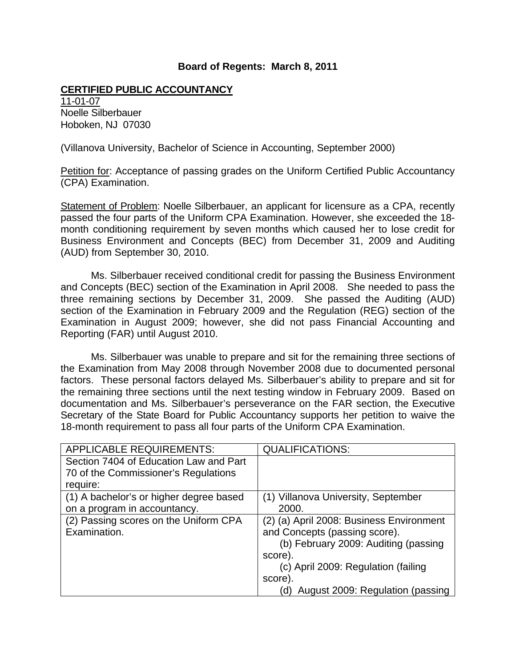#### **CERTIFIED PUBLIC ACCOUNTANCY**

11-01-07 Noelle Silberbauer Hoboken, NJ 07030

(Villanova University, Bachelor of Science in Accounting, September 2000)

Petition for: Acceptance of passing grades on the Uniform Certified Public Accountancy (CPA) Examination.

Statement of Problem: Noelle Silberbauer, an applicant for licensure as a CPA, recently passed the four parts of the Uniform CPA Examination. However, she exceeded the 18 month conditioning requirement by seven months which caused her to lose credit for Business Environment and Concepts (BEC) from December 31, 2009 and Auditing (AUD) from September 30, 2010.

Ms. Silberbauer received conditional credit for passing the Business Environment and Concepts (BEC) section of the Examination in April 2008. She needed to pass the three remaining sections by December 31, 2009. She passed the Auditing (AUD) section of the Examination in February 2009 and the Regulation (REG) section of the Examination in August 2009; however, she did not pass Financial Accounting and Reporting (FAR) until August 2010.

Ms. Silberbauer was unable to prepare and sit for the remaining three sections of the Examination from May 2008 through November 2008 due to documented personal factors. These personal factors delayed Ms. Silberbauer's ability to prepare and sit for the remaining three sections until the next testing window in February 2009. Based on documentation and Ms. Silberbauer's perseverance on the FAR section, the Executive Secretary of the State Board for Public Accountancy supports her petition to waive the 18-month requirement to pass all four parts of the Uniform CPA Examination.

| <b>APPLICABLE REQUIREMENTS:</b>         | <b>QUALIFICATIONS:</b>                   |
|-----------------------------------------|------------------------------------------|
| Section 7404 of Education Law and Part  |                                          |
| 70 of the Commissioner's Regulations    |                                          |
| require:                                |                                          |
| (1) A bachelor's or higher degree based | (1) Villanova University, September      |
| on a program in accountancy.            | 2000.                                    |
| (2) Passing scores on the Uniform CPA   | (2) (a) April 2008: Business Environment |
| Examination.                            | and Concepts (passing score).            |
|                                         | (b) February 2009: Auditing (passing     |
|                                         | score).                                  |
|                                         | (c) April 2009: Regulation (failing      |
|                                         | score).                                  |
|                                         | (d) August 2009: Regulation (passing     |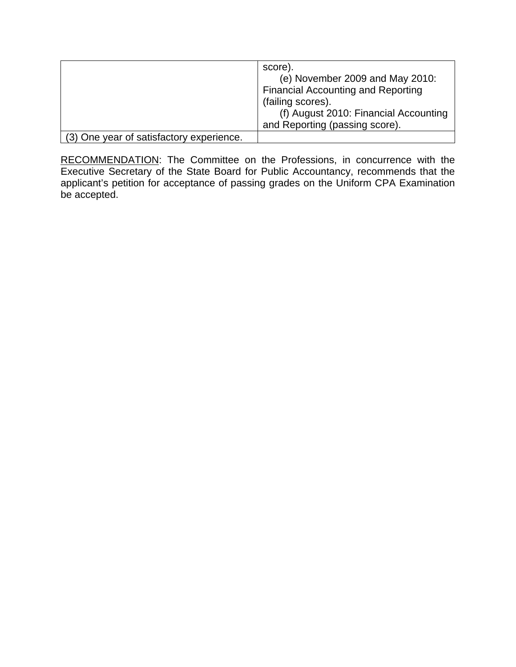|                                          | score).<br>(e) November 2009 and May 2010:<br><b>Financial Accounting and Reporting</b><br>(failing scores).<br>(f) August 2010: Financial Accounting<br>and Reporting (passing score). |
|------------------------------------------|-----------------------------------------------------------------------------------------------------------------------------------------------------------------------------------------|
| (3) One year of satisfactory experience. |                                                                                                                                                                                         |

RECOMMENDATION: The Committee on the Professions, in concurrence with the Executive Secretary of the State Board for Public Accountancy, recommends that the applicant's petition for acceptance of passing grades on the Uniform CPA Examination be accepted.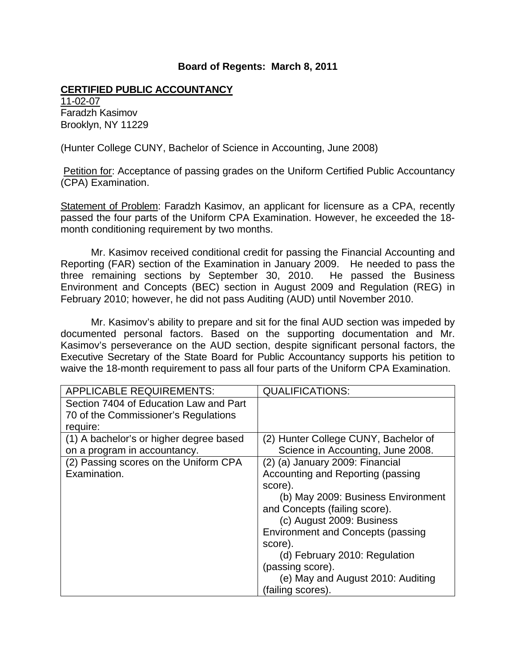#### **CERTIFIED PUBLIC ACCOUNTANCY**

11-02-07 Faradzh Kasimov Brooklyn, NY 11229

(Hunter College CUNY, Bachelor of Science in Accounting, June 2008)

Petition for: Acceptance of passing grades on the Uniform Certified Public Accountancy (CPA) Examination.

Statement of Problem: Faradzh Kasimov, an applicant for licensure as a CPA, recently passed the four parts of the Uniform CPA Examination. However, he exceeded the 18 month conditioning requirement by two months.

Mr. Kasimov received conditional credit for passing the Financial Accounting and Reporting (FAR) section of the Examination in January 2009. He needed to pass the three remaining sections by September 30, 2010. He passed the Business Environment and Concepts (BEC) section in August 2009 and Regulation (REG) in February 2010; however, he did not pass Auditing (AUD) until November 2010.

Mr. Kasimov's ability to prepare and sit for the final AUD section was impeded by documented personal factors. Based on the supporting documentation and Mr. Kasimov's perseverance on the AUD section, despite significant personal factors, the Executive Secretary of the State Board for Public Accountancy supports his petition to waive the 18-month requirement to pass all four parts of the Uniform CPA Examination.

| <b>APPLICABLE REQUIREMENTS:</b>         | <b>QUALIFICATIONS:</b>                   |
|-----------------------------------------|------------------------------------------|
| Section 7404 of Education Law and Part  |                                          |
| 70 of the Commissioner's Regulations    |                                          |
| require:                                |                                          |
| (1) A bachelor's or higher degree based | (2) Hunter College CUNY, Bachelor of     |
| on a program in accountancy.            | Science in Accounting, June 2008.        |
| (2) Passing scores on the Uniform CPA   | (2) (a) January 2009: Financial          |
| Examination.                            | Accounting and Reporting (passing        |
|                                         | score).                                  |
|                                         | (b) May 2009: Business Environment       |
|                                         | and Concepts (failing score).            |
|                                         | (c) August 2009: Business                |
|                                         | <b>Environment and Concepts (passing</b> |
|                                         | score).                                  |
|                                         | (d) February 2010: Regulation            |
|                                         | (passing score).                         |
|                                         | (e) May and August 2010: Auditing        |
|                                         | (failing scores).                        |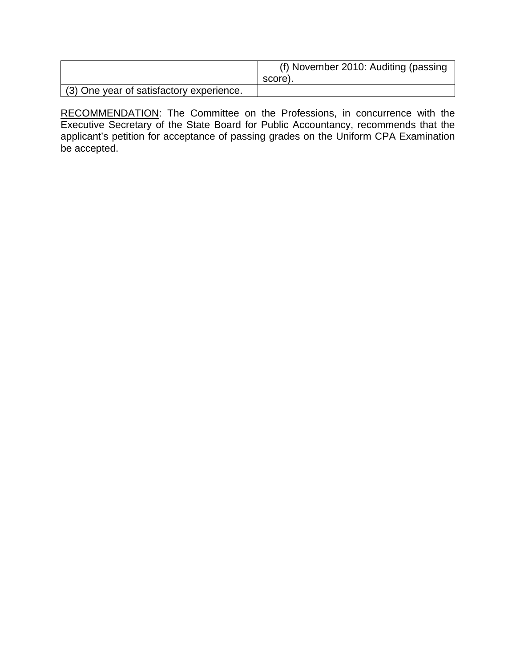|                                          | (f) November 2010: Auditing (passing<br>score). |
|------------------------------------------|-------------------------------------------------|
| (3) One year of satisfactory experience. |                                                 |

RECOMMENDATION: The Committee on the Professions, in concurrence with the Executive Secretary of the State Board for Public Accountancy, recommends that the applicant's petition for acceptance of passing grades on the Uniform CPA Examination be accepted.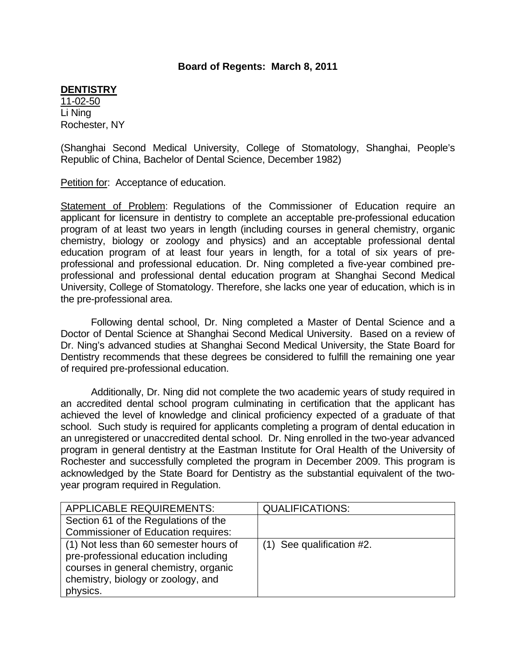#### **DENTISTRY**

11-02-50 Li Ning Rochester, NY

(Shanghai Second Medical University, College of Stomatology, Shanghai, People's Republic of China, Bachelor of Dental Science, December 1982)

Petition for: Acceptance of education.

Statement of Problem: Regulations of the Commissioner of Education require an applicant for licensure in dentistry to complete an acceptable pre-professional education program of at least two years in length (including courses in general chemistry, organic chemistry, biology or zoology and physics) and an acceptable professional dental education program of at least four years in length, for a total of six years of preprofessional and professional education. Dr. Ning completed a five-year combined preprofessional and professional dental education program at Shanghai Second Medical University, College of Stomatology. Therefore, she lacks one year of education, which is in the pre-professional area.

Following dental school, Dr. Ning completed a Master of Dental Science and a Doctor of Dental Science at Shanghai Second Medical University. Based on a review of Dr. Ning's advanced studies at Shanghai Second Medical University, the State Board for Dentistry recommends that these degrees be considered to fulfill the remaining one year of required pre-professional education.

Additionally, Dr. Ning did not complete the two academic years of study required in an accredited dental school program culminating in certification that the applicant has achieved the level of knowledge and clinical proficiency expected of a graduate of that school. Such study is required for applicants completing a program of dental education in an unregistered or unaccredited dental school. Dr. Ning enrolled in the two-year advanced program in general dentistry at the Eastman Institute for Oral Health of the University of Rochester and successfully completed the program in December 2009. This program is acknowledged by the State Board for Dentistry as the substantial equivalent of the twoyear program required in Regulation.

| <b>QUALIFICATIONS:</b>      |
|-----------------------------|
|                             |
|                             |
| $(1)$ See qualification #2. |
|                             |
|                             |
|                             |
|                             |
|                             |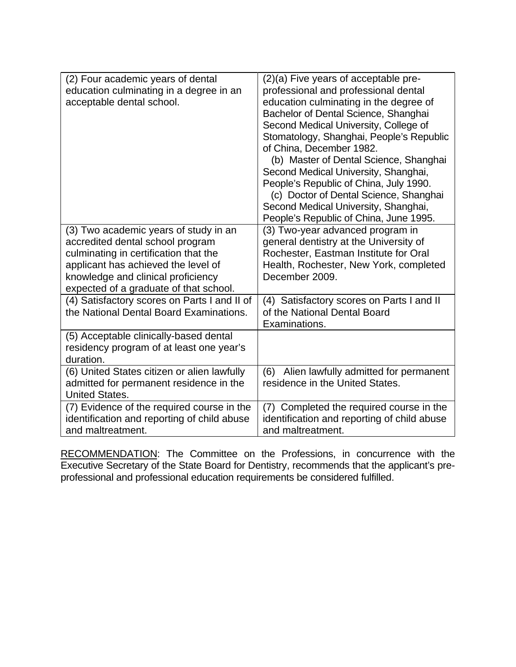| (2) Four academic years of dental<br>education culminating in a degree in an<br>acceptable dental school.                                                                                                                                 | (2)(a) Five years of acceptable pre-<br>professional and professional dental<br>education culminating in the degree of<br>Bachelor of Dental Science, Shanghai<br>Second Medical University, College of<br>Stomatology, Shanghai, People's Republic<br>of China, December 1982.<br>(b) Master of Dental Science, Shanghai<br>Second Medical University, Shanghai,<br>People's Republic of China, July 1990.<br>(c) Doctor of Dental Science, Shanghai<br>Second Medical University, Shanghai,<br>People's Republic of China, June 1995. |
|-------------------------------------------------------------------------------------------------------------------------------------------------------------------------------------------------------------------------------------------|-----------------------------------------------------------------------------------------------------------------------------------------------------------------------------------------------------------------------------------------------------------------------------------------------------------------------------------------------------------------------------------------------------------------------------------------------------------------------------------------------------------------------------------------|
| (3) Two academic years of study in an<br>accredited dental school program<br>culminating in certification that the<br>applicant has achieved the level of<br>knowledge and clinical proficiency<br>expected of a graduate of that school. | (3) Two-year advanced program in<br>general dentistry at the University of<br>Rochester, Eastman Institute for Oral<br>Health, Rochester, New York, completed<br>December 2009.                                                                                                                                                                                                                                                                                                                                                         |
| (4) Satisfactory scores on Parts I and II of<br>the National Dental Board Examinations.                                                                                                                                                   | (4) Satisfactory scores on Parts I and II<br>of the National Dental Board<br>Examinations.                                                                                                                                                                                                                                                                                                                                                                                                                                              |
| (5) Acceptable clinically-based dental<br>residency program of at least one year's<br>duration.                                                                                                                                           |                                                                                                                                                                                                                                                                                                                                                                                                                                                                                                                                         |
| (6) United States citizen or alien lawfully<br>admitted for permanent residence in the<br><b>United States.</b>                                                                                                                           | (6) Alien lawfully admitted for permanent<br>residence in the United States.                                                                                                                                                                                                                                                                                                                                                                                                                                                            |
| (7) Evidence of the required course in the<br>identification and reporting of child abuse<br>and maltreatment.                                                                                                                            | (7) Completed the required course in the<br>identification and reporting of child abuse<br>and maltreatment.                                                                                                                                                                                                                                                                                                                                                                                                                            |

RECOMMENDATION: The Committee on the Professions, in concurrence with the Executive Secretary of the State Board for Dentistry, recommends that the applicant's preprofessional and professional education requirements be considered fulfilled.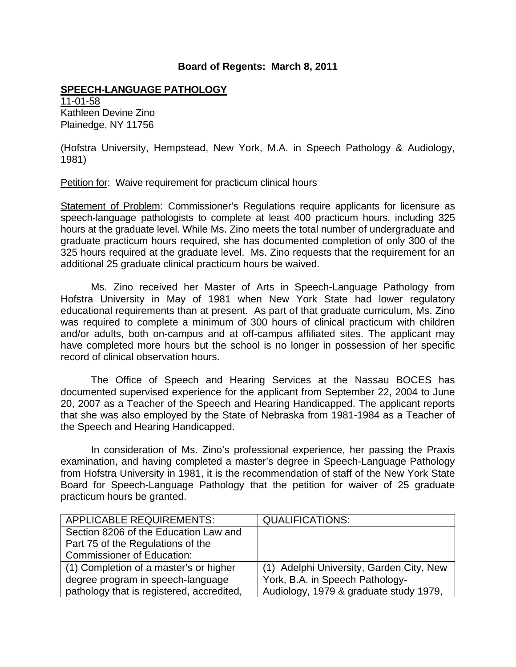# **SPEECH-LANGUAGE PATHOLOGY**

11-01-58 Kathleen Devine Zino Plainedge, NY 11756

(Hofstra University, Hempstead, New York, M.A. in Speech Pathology & Audiology, 1981)

Petition for: Waive requirement for practicum clinical hours

Statement of Problem: Commissioner's Regulations require applicants for licensure as speech-language pathologists to complete at least 400 practicum hours, including 325 hours at the graduate level. While Ms. Zino meets the total number of undergraduate and graduate practicum hours required, she has documented completion of only 300 of the 325 hours required at the graduate level. Ms. Zino requests that the requirement for an additional 25 graduate clinical practicum hours be waived.

 Ms. Zino received her Master of Arts in Speech-Language Pathology from Hofstra University in May of 1981 when New York State had lower regulatory educational requirements than at present. As part of that graduate curriculum, Ms. Zino was required to complete a minimum of 300 hours of clinical practicum with children and/or adults, both on-campus and at off-campus affiliated sites. The applicant may have completed more hours but the school is no longer in possession of her specific record of clinical observation hours.

 The Office of Speech and Hearing Services at the Nassau BOCES has documented supervised experience for the applicant from September 22, 2004 to June 20, 2007 as a Teacher of the Speech and Hearing Handicapped. The applicant reports that she was also employed by the State of Nebraska from 1981-1984 as a Teacher of the Speech and Hearing Handicapped.

 In consideration of Ms. Zino's professional experience, her passing the Praxis examination, and having completed a master's degree in Speech-Language Pathology from Hofstra University in 1981, it is the recommendation of staff of the New York State Board for Speech-Language Pathology that the petition for waiver of 25 graduate practicum hours be granted.

| <b>APPLICABLE REQUIREMENTS:</b>           | <b>QUALIFICATIONS:</b>                   |
|-------------------------------------------|------------------------------------------|
| Section 8206 of the Education Law and     |                                          |
| Part 75 of the Regulations of the         |                                          |
| <b>Commissioner of Education:</b>         |                                          |
| (1) Completion of a master's or higher    | (1) Adelphi University, Garden City, New |
| degree program in speech-language         | York, B.A. in Speech Pathology-          |
| pathology that is registered, accredited, | Audiology, 1979 & graduate study 1979,   |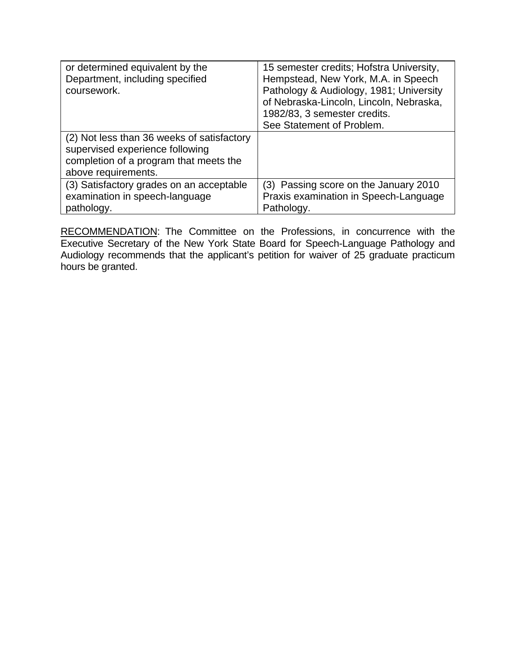| or determined equivalent by the<br>Department, including specified<br>coursework.                                                              | 15 semester credits; Hofstra University,<br>Hempstead, New York, M.A. in Speech<br>Pathology & Audiology, 1981; University<br>of Nebraska-Lincoln, Lincoln, Nebraska,<br>1982/83, 3 semester credits.<br>See Statement of Problem. |
|------------------------------------------------------------------------------------------------------------------------------------------------|------------------------------------------------------------------------------------------------------------------------------------------------------------------------------------------------------------------------------------|
| (2) Not less than 36 weeks of satisfactory<br>supervised experience following<br>completion of a program that meets the<br>above requirements. |                                                                                                                                                                                                                                    |
| (3) Satisfactory grades on an acceptable<br>examination in speech-language<br>pathology.                                                       | (3) Passing score on the January 2010<br>Praxis examination in Speech-Language<br>Pathology.                                                                                                                                       |

RECOMMENDATION: The Committee on the Professions, in concurrence with the Executive Secretary of the New York State Board for Speech-Language Pathology and Audiology recommends that the applicant's petition for waiver of 25 graduate practicum hours be granted.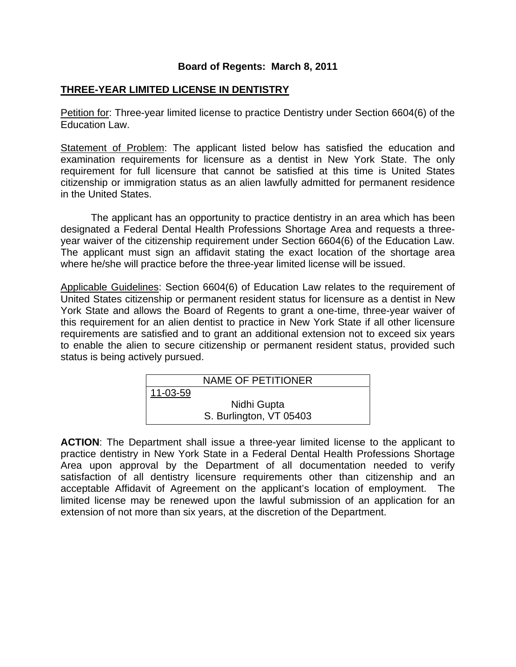# **THREE-YEAR LIMITED LICENSE IN DENTISTRY**

Petition for: Three-year limited license to practice Dentistry under Section 6604(6) of the Education Law.

Statement of Problem: The applicant listed below has satisfied the education and examination requirements for licensure as a dentist in New York State. The only requirement for full licensure that cannot be satisfied at this time is United States citizenship or immigration status as an alien lawfully admitted for permanent residence in the United States.

 The applicant has an opportunity to practice dentistry in an area which has been designated a Federal Dental Health Professions Shortage Area and requests a threeyear waiver of the citizenship requirement under Section 6604(6) of the Education Law. The applicant must sign an affidavit stating the exact location of the shortage area where he/she will practice before the three-year limited license will be issued.

Applicable Guidelines: Section 6604(6) of Education Law relates to the requirement of United States citizenship or permanent resident status for licensure as a dentist in New York State and allows the Board of Regents to grant a one-time, three-year waiver of this requirement for an alien dentist to practice in New York State if all other licensure requirements are satisfied and to grant an additional extension not to exceed six years to enable the alien to secure citizenship or permanent resident status, provided such status is being actively pursued.

| NAME OF PETITIONER |                         |
|--------------------|-------------------------|
| 11-03-59           |                         |
| Nidhi Gupta        |                         |
|                    | S. Burlington, VT 05403 |

**ACTION**: The Department shall issue a three-year limited license to the applicant to practice dentistry in New York State in a Federal Dental Health Professions Shortage Area upon approval by the Department of all documentation needed to verify satisfaction of all dentistry licensure requirements other than citizenship and an acceptable Affidavit of Agreement on the applicant's location of employment. The limited license may be renewed upon the lawful submission of an application for an extension of not more than six years, at the discretion of the Department.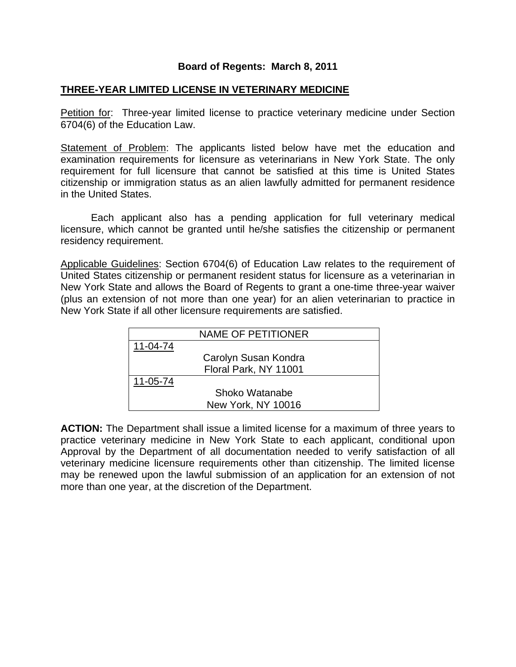#### **THREE-YEAR LIMITED LICENSE IN VETERINARY MEDICINE**

Petition for: Three-year limited license to practice veterinary medicine under Section 6704(6) of the Education Law.

Statement of Problem: The applicants listed below have met the education and examination requirements for licensure as veterinarians in New York State. The only requirement for full licensure that cannot be satisfied at this time is United States citizenship or immigration status as an alien lawfully admitted for permanent residence in the United States.

 Each applicant also has a pending application for full veterinary medical licensure, which cannot be granted until he/she satisfies the citizenship or permanent residency requirement.

Applicable Guidelines: Section 6704(6) of Education Law relates to the requirement of United States citizenship or permanent resident status for licensure as a veterinarian in New York State and allows the Board of Regents to grant a one-time three-year waiver (plus an extension of not more than one year) for an alien veterinarian to practice in New York State if all other licensure requirements are satisfied.

|          | NAME OF PETITIONER    |
|----------|-----------------------|
| 11-04-74 |                       |
|          | Carolyn Susan Kondra  |
|          | Floral Park, NY 11001 |
| 11-05-74 |                       |
|          | Shoko Watanabe        |
|          | New York, NY 10016    |

**ACTION:** The Department shall issue a limited license for a maximum of three years to practice veterinary medicine in New York State to each applicant, conditional upon Approval by the Department of all documentation needed to verify satisfaction of all veterinary medicine licensure requirements other than citizenship. The limited license may be renewed upon the lawful submission of an application for an extension of not more than one year, at the discretion of the Department.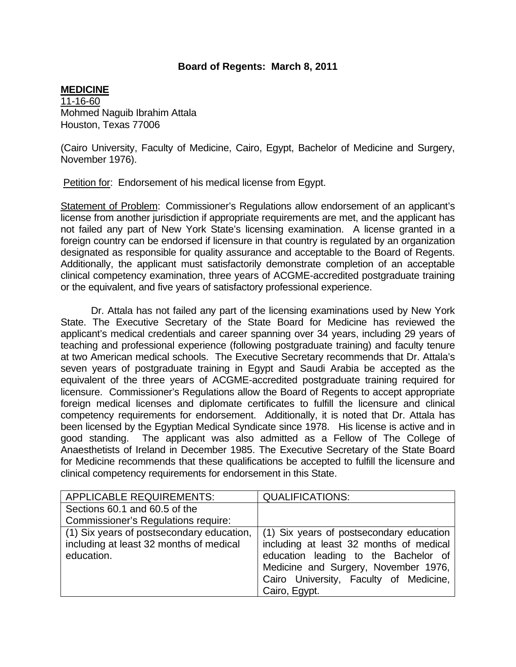#### **MEDICINE**

11-16-60 Mohmed Naguib Ibrahim Attala Houston, Texas 77006

(Cairo University, Faculty of Medicine, Cairo, Egypt, Bachelor of Medicine and Surgery, November 1976).

Petition for: Endorsement of his medical license from Egypt.

Statement of Problem: Commissioner's Regulations allow endorsement of an applicant's license from another jurisdiction if appropriate requirements are met, and the applicant has not failed any part of New York State's licensing examination. A license granted in a foreign country can be endorsed if licensure in that country is regulated by an organization designated as responsible for quality assurance and acceptable to the Board of Regents. Additionally, the applicant must satisfactorily demonstrate completion of an acceptable clinical competency examination, three years of ACGME-accredited postgraduate training or the equivalent, and five years of satisfactory professional experience.

 Dr. Attala has not failed any part of the licensing examinations used by New York State. The Executive Secretary of the State Board for Medicine has reviewed the applicant's medical credentials and career spanning over 34 years, including 29 years of teaching and professional experience (following postgraduate training) and faculty tenure at two American medical schools. The Executive Secretary recommends that Dr. Attala's seven years of postgraduate training in Egypt and Saudi Arabia be accepted as the equivalent of the three years of ACGME-accredited postgraduate training required for licensure. Commissioner's Regulations allow the Board of Regents to accept appropriate foreign medical licenses and diplomate certificates to fulfill the licensure and clinical competency requirements for endorsement. Additionally, it is noted that Dr. Attala has been licensed by the Egyptian Medical Syndicate since 1978. His license is active and in good standing. The applicant was also admitted as a Fellow of The College of Anaesthetists of Ireland in December 1985. The Executive Secretary of the State Board for Medicine recommends that these qualifications be accepted to fulfill the licensure and clinical competency requirements for endorsement in this State.

| <b>APPLICABLE REQUIREMENTS:</b>           | <b>QUALIFICATIONS:</b>                   |
|-------------------------------------------|------------------------------------------|
| Sections 60.1 and 60.5 of the             |                                          |
| Commissioner's Regulations require:       |                                          |
| (1) Six years of postsecondary education, | (1) Six years of postsecondary education |
| including at least 32 months of medical   | including at least 32 months of medical  |
| education.                                | education leading to the Bachelor of     |
|                                           | Medicine and Surgery, November 1976,     |
|                                           | Cairo University, Faculty of Medicine,   |
|                                           | Cairo, Egypt.                            |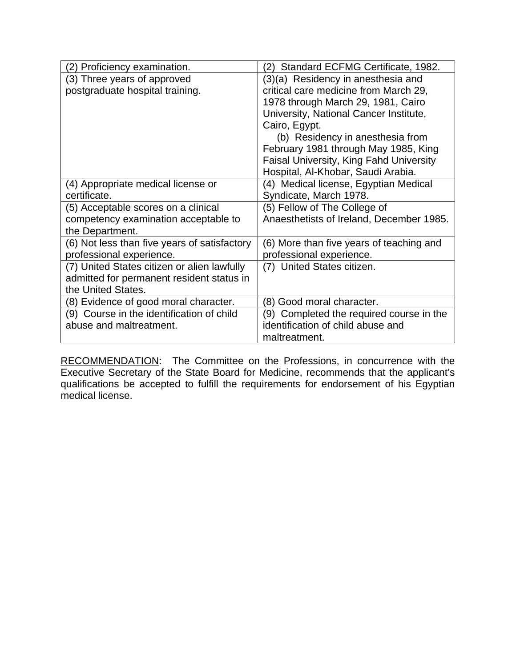| (2) Proficiency examination.                 | Standard ECFMG Certificate, 1982.<br>(2)       |
|----------------------------------------------|------------------------------------------------|
| (3) Three years of approved                  | (3)(a) Residency in anesthesia and             |
| postgraduate hospital training.              | critical care medicine from March 29,          |
|                                              | 1978 through March 29, 1981, Cairo             |
|                                              | University, National Cancer Institute,         |
|                                              | Cairo, Egypt.                                  |
|                                              | (b) Residency in anesthesia from               |
|                                              | February 1981 through May 1985, King           |
|                                              | <b>Faisal University, King Fahd University</b> |
|                                              | Hospital, Al-Khobar, Saudi Arabia.             |
| (4) Appropriate medical license or           | (4) Medical license, Egyptian Medical          |
| certificate.                                 | Syndicate, March 1978.                         |
| (5) Acceptable scores on a clinical          | (5) Fellow of The College of                   |
| competency examination acceptable to         | Anaesthetists of Ireland, December 1985.       |
| the Department.                              |                                                |
| (6) Not less than five years of satisfactory | (6) More than five years of teaching and       |
| professional experience.                     | professional experience.                       |
| (7) United States citizen or alien lawfully  | (7) United States citizen.                     |
| admitted for permanent resident status in    |                                                |
| the United States.                           |                                                |
| (8) Evidence of good moral character.        | (8) Good moral character.                      |
| (9) Course in the identification of child    | (9) Completed the required course in the       |
| abuse and maltreatment.                      | identification of child abuse and              |
|                                              | maltreatment.                                  |

RECOMMENDATION: The Committee on the Professions, in concurrence with the Executive Secretary of the State Board for Medicine, recommends that the applicant's qualifications be accepted to fulfill the requirements for endorsement of his Egyptian medical license.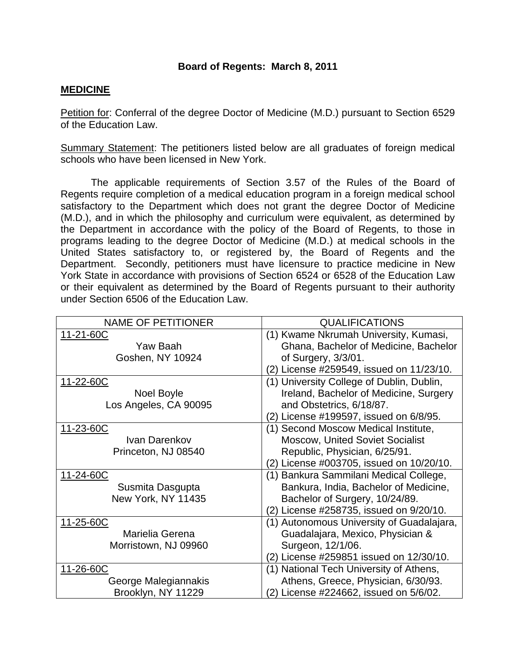#### **MEDICINE**

Petition for: Conferral of the degree Doctor of Medicine (M.D.) pursuant to Section 6529 of the Education Law.

Summary Statement: The petitioners listed below are all graduates of foreign medical schools who have been licensed in New York.

 The applicable requirements of Section 3.57 of the Rules of the Board of Regents require completion of a medical education program in a foreign medical school satisfactory to the Department which does not grant the degree Doctor of Medicine (M.D.), and in which the philosophy and curriculum were equivalent, as determined by the Department in accordance with the policy of the Board of Regents, to those in programs leading to the degree Doctor of Medicine (M.D.) at medical schools in the United States satisfactory to, or registered by, the Board of Regents and the Department. Secondly, petitioners must have licensure to practice medicine in New York State in accordance with provisions of Section 6524 or 6528 of the Education Law or their equivalent as determined by the Board of Regents pursuant to their authority under Section 6506 of the Education Law.

| <b>NAME OF PETITIONER</b> | <b>QUALIFICATIONS</b>                     |
|---------------------------|-------------------------------------------|
| 11-21-60C                 | (1) Kwame Nkrumah University, Kumasi,     |
| Yaw Baah                  | Ghana, Bachelor of Medicine, Bachelor     |
| Goshen, NY 10924          | of Surgery, 3/3/01.                       |
|                           | (2) License #259549, issued on 11/23/10.  |
| 11-22-60C                 | (1) University College of Dublin, Dublin, |
| Noel Boyle                | Ireland, Bachelor of Medicine, Surgery    |
| Los Angeles, CA 90095     | and Obstetrics, 6/18/87.                  |
|                           | (2) License #199597, issued on 6/8/95.    |
| 11-23-60C                 | (1) Second Moscow Medical Institute,      |
| Ivan Darenkov             | <b>Moscow, United Soviet Socialist</b>    |
| Princeton, NJ 08540       | Republic, Physician, 6/25/91.             |
|                           | (2) License #003705, issued on 10/20/10.  |
| 11-24-60C                 | (1) Bankura Sammilani Medical College,    |
| Susmita Dasgupta          | Bankura, India, Bachelor of Medicine,     |
| New York, NY 11435        | Bachelor of Surgery, 10/24/89.            |
|                           | (2) License #258735, issued on 9/20/10.   |
| 11-25-60C                 | (1) Autonomous University of Guadalajara, |
| Marielia Gerena           | Guadalajara, Mexico, Physician &          |
| Morristown, NJ 09960      | Surgeon, 12/1/06.                         |
|                           | (2) License #259851 issued on 12/30/10.   |
| 11-26-60C                 | (1) National Tech University of Athens,   |
| George Malegiannakis      | Athens, Greece, Physician, 6/30/93.       |
| Brooklyn, NY 11229        | (2) License #224662, issued on 5/6/02.    |